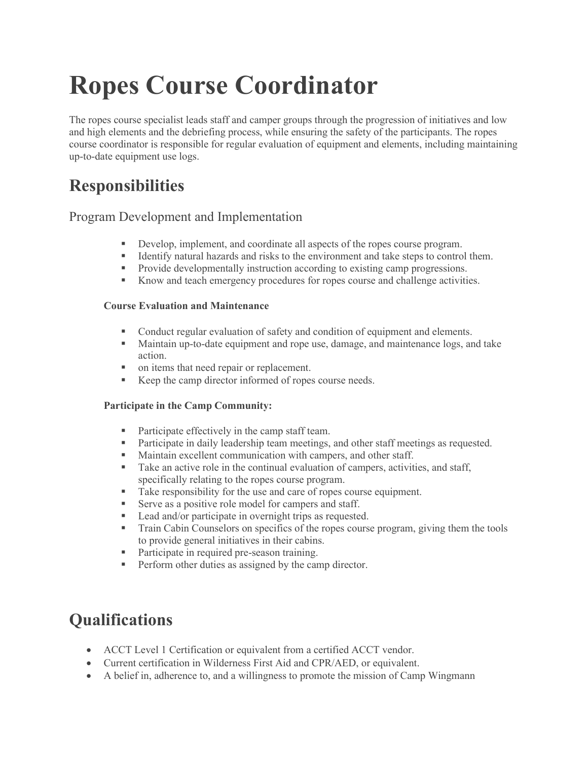# **Ropes Course Coordinator**

The ropes course specialist leads staff and camper groups through the progression of initiatives and low and high elements and the debriefing process, while ensuring the safety of the participants. The ropes course coordinator is responsible for regular evaluation of equipment and elements, including maintaining up-to-date equipment use logs.

### **Responsibilities**

### Program Development and Implementation

- Develop, implement, and coordinate all aspects of the ropes course program.
- Identify natural hazards and risks to the environment and take steps to control them.
- Provide developmentally instruction according to existing camp progressions.
- Know and teach emergency procedures for ropes course and challenge activities.

#### **Course Evaluation and Maintenance**

- Conduct regular evaluation of safety and condition of equipment and elements.
- Maintain up-to-date equipment and rope use, damage, and maintenance logs, and take action.
- on items that need repair or replacement.
- Keep the camp director informed of ropes course needs.

#### **Participate in the Camp Community:**

- Participate effectively in the camp staff team.
- Participate in daily leadership team meetings, and other staff meetings as requested.
- **Maintain excellent communication with campers, and other staff.**
- Take an active role in the continual evaluation of campers, activities, and staff, specifically relating to the ropes course program.
- Take responsibility for the use and care of ropes course equipment.
- Serve as a positive role model for campers and staff.
- Lead and/or participate in overnight trips as requested.
- Train Cabin Counselors on specifics of the ropes course program, giving them the tools to provide general initiatives in their cabins.
- **Participate in required pre-season training.**
- **Perform other duties as assigned by the camp director.**

### **Qualifications**

- ACCT Level 1 Certification or equivalent from a certified ACCT vendor.
- Current certification in Wilderness First Aid and CPR/AED, or equivalent.
- A belief in, adherence to, and a willingness to promote the mission of Camp Wingmann